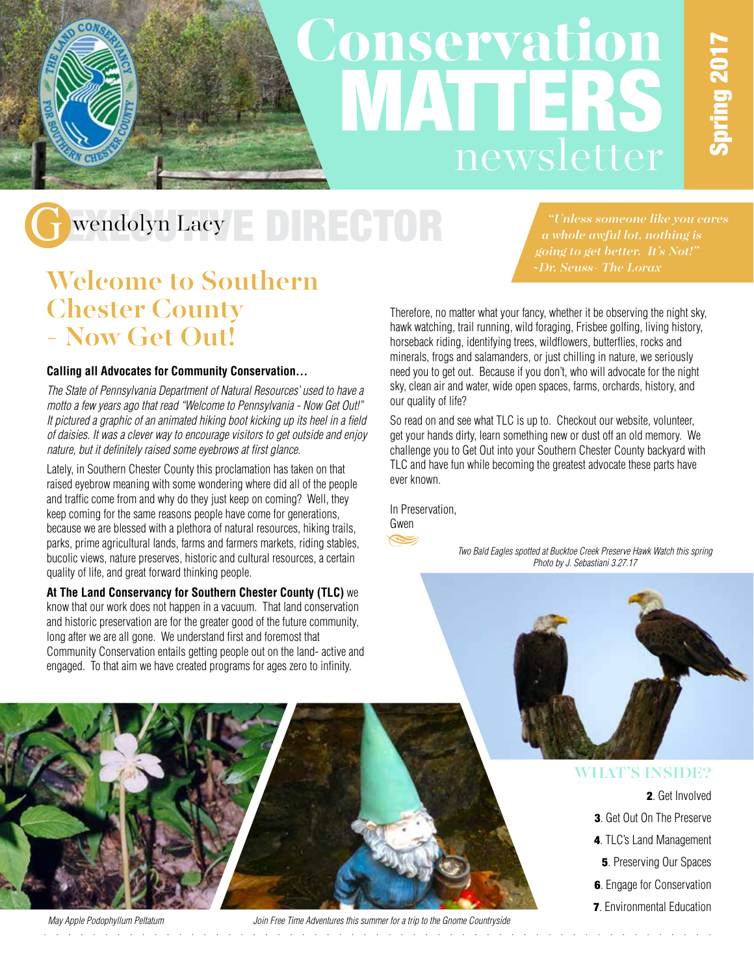### Conservation **MATTERS** newsletter

### Wendolyn Lacy EDIRECTOR

*"Unless someone like you cares a whole awful lot, nothing is going to get better. It's Not!" ~Dr. Seuss- The Lorax*

### Welcome to Southern Chester County - Now Get Out!

#### **Calling all Advocates for Community Conservation…**

*The State of Pennsylvania Department of Natural Resources' used to have a motto a few years ago that read "Welcome to Pennsylvania - Now Get Out!" It pictured a graphic of an animated hiking boot kicking up its heel in a field of daisies. It was a clever way to encourage visitors to get outside and enjoy nature, but it definitely raised some eyebrows at first glance.*

Lately, in Southern Chester County this proclamation has taken on that raised eyebrow meaning with some wondering where did all of the people and traffic come from and why do they just keep on coming? Well, they keep coming for the same reasons people have come for generations, because we are blessed with a plethora of natural resources, hiking trails, parks, prime agricultural lands, farms and farmers markets, riding stables, bucolic views, nature preserves, historic and cultural resources, a certain quality of life, and great forward thinking people.

**At The Land Conservancy for Southern Chester County (TLC)** we know that our work does not happen in a vacuum. That land conservation and historic preservation are for the greater good of the future community, long after we are all gone. We understand first and foremost that Community Conservation entails getting people out on the land- active and engaged. To that aim we have created programs for ages zero to infinity.

**Carl America** 

Therefore, no matter what your fancy, whether it be observing the night sky, hawk watching, trail running, wild foraging, Frisbee golfing, living history, horseback riding, identifying trees, wildflowers, butterflies, rocks and minerals, frogs and salamanders, or just chilling in nature, we seriously need you to get out. Because if you don't, who will advocate for the night sky, clean air and water, wide open spaces, farms, orchards, history, and our quality of life?

So read on and see what TLC is up to. Checkout our website, volunteer, get your hands dirty, learn something new or dust off an old memory. We challenge you to Get Out into your Southern Chester County backyard with TLC and have fun while becoming the greatest advocate these parts have ever known.

In Preservation,



*Two Bald Eagles spotted at Bucktoe Creek Preserve Hawk Watch this spring Photo by J. Sebastiani 3.27.17*

#### WHAT'S INSIDE?

#### 2. Get Involved

- 3. Get Out On The Preserve
- 4. TLC's Land Management
- **5. Preserving Our Spaces**
- 6. Engage for Conservation
- **7**. Environmental Education



*May Apple Podophyllum Peltatum Join Free Time Adventures this summer for a trip to the Gnome Countryside*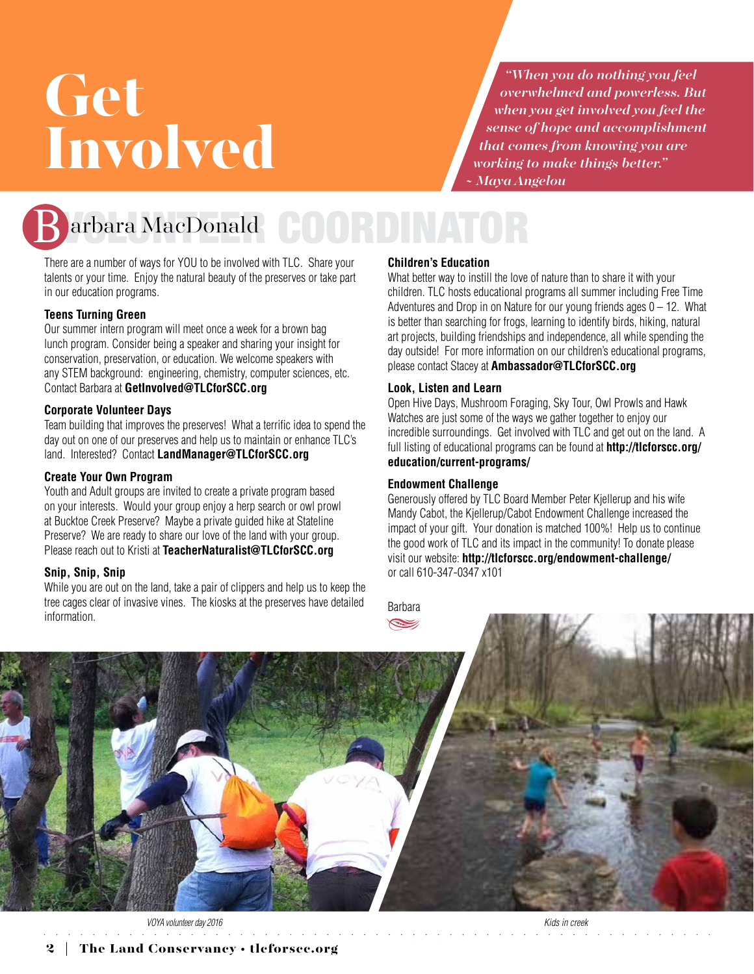# Get Involved

*"When you do nothing you feel overwhelmed and powerless. But when you get involved you feel the sense of hope and accomplishment that comes from knowing you are working to make things better." ~ Maya Angelou*



arbara MacDonald COORDINATOR

There are a number of ways for YOU to be involved with TLC. Share your talents or your time. Enjoy the natural beauty of the preserves or take part in our education programs.

#### **Teens Turning Green**

Our summer intern program will meet once a week for a brown bag lunch program. Consider being a speaker and sharing your insight for conservation, preservation, or education. We welcome speakers with any STEM background: engineering, chemistry, computer sciences, etc. Contact Barbara at **[GetInvolved@TLCforSCC.org](mailto:GetInvolved@TLCforSCC.org)**

#### **Corporate Volunteer Days**

Team building that improves the preserves! What a terrific idea to spend the day out on one of our preserves and help us to maintain or enhance TLC's land. Interested? Contact **[LandManager@TLCforSCC.org](mailto:LandManager@TLCforSCC.org)**

#### **Create Your Own Program**

Youth and Adult groups are invited to create a private program based on your interests. Would your group enjoy a herp search or owl prowl at Bucktoe Creek Preserve? Maybe a private guided hike at Stateline Preserve? We are ready to share our love of the land with your group. Please reach out to Kristi at **[TeacherNaturalist@TLCforSCC.org](mailto:TeacherNaturalist@TLCforSCC.org)**

#### **Snip, Snip, Snip**

While you are out on the land, take a pair of clippers and help us to keep the tree cages clear of invasive vines. The kiosks at the preserves have detailed information.

#### **Children's Education**

What better way to instill the love of nature than to share it with your children. TLC hosts educational programs all summer including Free Time Adventures and Drop in on Nature for our young friends ages  $0 - 12$ . What is better than searching for frogs, learning to identify birds, hiking, natural art projects, building friendships and independence, all while spending the day outside! For more information on our children's educational programs, please contact Stacey at **[Ambassador@TLCforSCC.org](mailto:Ambassador@TLCforSCC.org)**

#### **Look, Listen and Learn**

Open Hive Days, Mushroom Foraging, Sky Tour, Owl Prowls and Hawk Watches are just some of the ways we gather together to enjoy our incredible surroundings. Get involved with TLC and get out on the land. A full listing of educational programs can be found at **[http://tlcforscc.org/](http://tlcforscc.org/education/current-programs/) [education/current-programs/](http://tlcforscc.org/education/current-programs/)**

#### **Endowment Challenge**

Generously offered by TLC Board Member Peter Kjellerup and his wife Mandy Cabot, the Kjellerup/Cabot Endowment Challenge increased the impact of your gift. Your donation is matched 100%! Help us to continue the good work of TLC and its impact in the community! To donate please visit our website: **<http://tlcforscc.org/endowment-challenge/>** or call 610-347-0347 x101





*VOYA volunteer day 2016 Kids in creek*

2 The Land Conservancy • [tlcforscc.org](http://tlcforscc.org)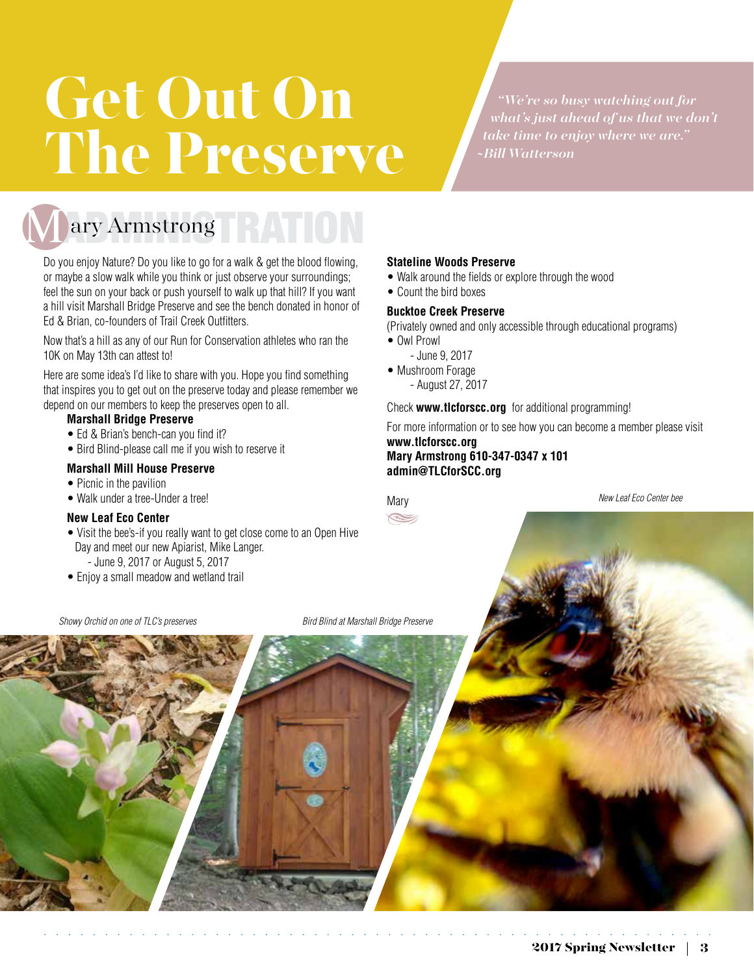### i<br>Li Get Out On The Preserve

*"We're so busy watching out for what's just ahead of us that we don't take time to enjoy where we are." ~Bill Watterson*



ary Armstrong RATION

Do you enjoy Nature? Do you like to go for a walk & get the blood flowing, or maybe a slow walk while you think or just observe your surroundings; feel the sun on your back or push yourself to walk up that hill? If you want a hill visit Marshall Bridge Preserve and see the bench donated in honor of Ed & Brian, co-founders of Trail Creek Outfitters.

Now that's a hill as any of our Run for Conservation athletes who ran the 10K on May 13th can attest to!

Here are some idea's I'd like to share with you. Hope you find something that inspires you to get out on the preserve today and please remember we depend on our members to keep the preserves open to all.

#### **Marshall Bridge Preserve**

- Ed & Brian's bench-can you find it?
- Bird Blind-please call me if you wish to reserve it

#### **Marshall Mill House Preserve**

- Picnic in the pavilion
- Walk under a tree-Under a tree!

#### **New Leaf Eco Center**

- Visit the bee's-if you really want to get close come to an Open Hive Day and meet our new Apiarist, Mike Langer.
	- June 9, 2017 or August 5, 2017
- Enjoy a small meadow and wetland trail

*Showy Orchid on one of TLC's preserves Bird Blind at Marshall Bridge Preserve*

**Stateline Woods Preserve** • Walk around the fields or explore through the wood

• Count the bird boxes

#### **Bucktoe Creek Preserve**

(Privately owned and only accessible through educational programs)

- Owl Prowl
	- June 9, 2017
- Mushroom Forage
	- August 27, 2017

Check **[www.tlcforscc.org](http://www.tlcforscc.org)** for additional programming!

For more information or to see how you can become a member please visit

**[www.tlcforscc.org](http://www.tlcforscc.org)  Mary Armstrong 610-347-0347 x 101 [admin@TLCforSCC.org](mailto:admin@TLCforSCC.org)**

**Mary**  $\leq$  *New Leaf Eco Center bee*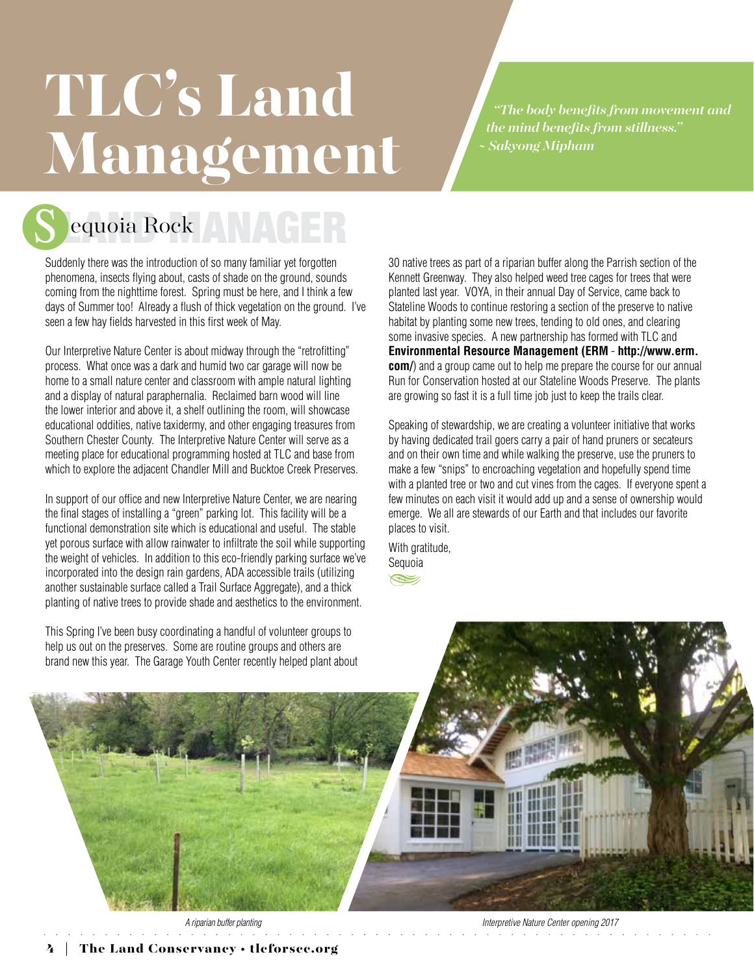# TLC's Land Management

*"The body benefits from movement and the mind benefits from stillness." ~ Sakyong Mipham*



equoia Rock ANAGER

Suddenly there was the introduction of so many familiar yet forgotten phenomena, insects flying about, casts of shade on the ground, sounds coming from the nighttime forest. Spring must be here, and I think a few days of Summer too! Already a flush of thick vegetation on the ground. I've seen a few hay fields harvested in this first week of May.

Our Interpretive Nature Center is about midway through the "retrofitting" process. What once was a dark and humid two car garage will now be home to a small nature center and classroom with ample natural lighting and a display of natural paraphernalia. Reclaimed barn wood will line the lower interior and above it, a shelf outlining the room, will showcase educational oddities, native taxidermy, and other engaging treasures from Southern Chester County. The Interpretive Nature Center will serve as a meeting place for educational programming hosted at TLC and base from which to explore the adjacent Chandler Mill and Bucktoe Creek Preserves.

In support of our office and new Interpretive Nature Center, we are nearing the final stages of installing a "green" parking lot. This facility will be a functional demonstration site which is educational and useful. The stable yet porous surface with allow rainwater to infiltrate the soil while supporting the weight of vehicles. In addition to this eco-friendly parking surface we've incorporated into the design rain gardens, ADA accessible trails (utilizing another sustainable surface called a Trail Surface Aggregate), and a thick planting of native trees to provide shade and aesthetics to the environment.

This Spring I've been busy coordinating a handful of volunteer groups to help us out on the preserves. Some are routine groups and others are brand new this year. The Garage Youth Center recently helped plant about

30 native trees as part of a riparian buffer along the Parrish section of the Kennett Greenway. They also helped weed tree cages for trees that were planted last year. VOYA, in their annual Day of Service, came back to Stateline Woods to continue restoring a section of the preserve to native habitat by planting some new trees, tending to old ones, and clearing some invasive species. A new partnership has formed with TLC and **Environmental Resource Management (ERM** - **[http://www.erm.](http://www.erm.com/) [com/](http://www.erm.com/)**) and a group came out to help me prepare the course for our annual Run for Conservation hosted at our Stateline Woods Preserve. The plants are growing so fast it is a full time job just to keep the trails clear.

Speaking of stewardship, we are creating a volunteer initiative that works by having dedicated trail goers carry a pair of hand pruners or secateurs and on their own time and while walking the preserve, use the pruners to make a few "snips" to encroaching vegetation and hopefully spend time with a planted tree or two and cut vines from the cages. If everyone spent a few minutes on each visit it would add up and a sense of ownership would emerge. We all are stewards of our Earth and that includes our favorite places to visit.

With gratitude, Sequoia

 $\leq$ 

*A riparian buffer planting Interpretive Nature Center opening 2017*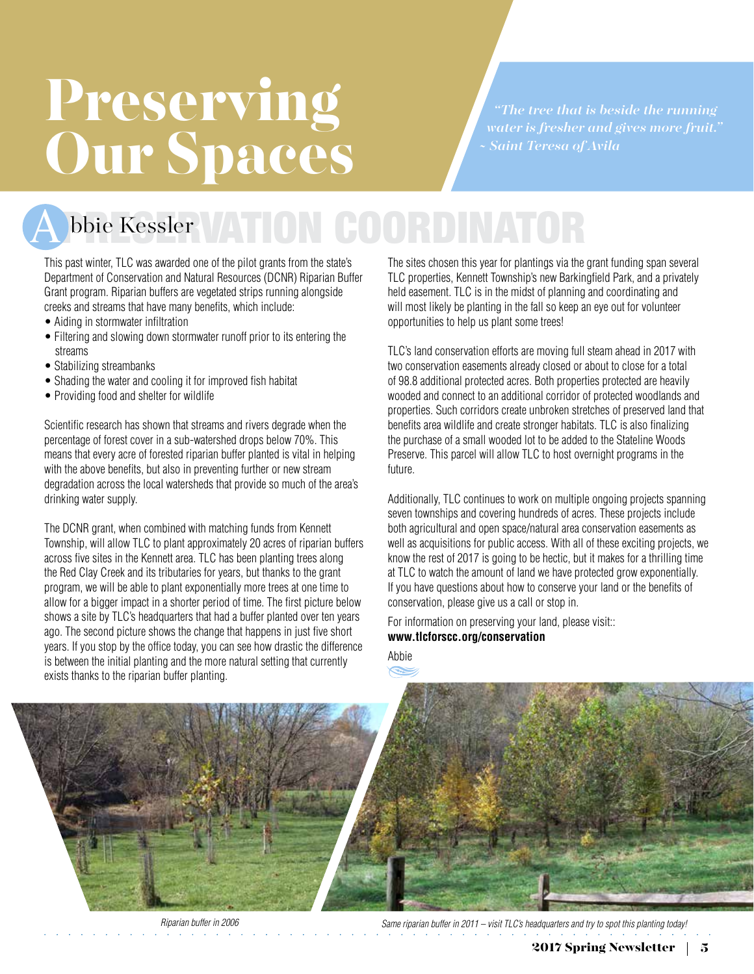# Preserving Our Spaces

*"The tree that is beside the running water is fresher and gives more fruit." ~ Saint Teresa of Avila*

### bbie Kessler VATION COORDINATOR

This past winter, TLC was awarded one of the pilot grants from the state's Department of Conservation and Natural Resources (DCNR) Riparian Buffer Grant program. Riparian buffers are vegetated strips running alongside creeks and streams that have many benefits, which include:

- Aiding in stormwater infiltration
- Filtering and slowing down stormwater runoff prior to its entering the streams
- Stabilizing streambanks
- Shading the water and cooling it for improved fish habitat
- Providing food and shelter for wildlife

Scientific research has shown that streams and rivers degrade when the percentage of forest cover in a sub-watershed drops below 70%. This means that every acre of forested riparian buffer planted is vital in helping with the above benefits, but also in preventing further or new stream degradation across the local watersheds that provide so much of the area's drinking water supply.

The DCNR grant, when combined with matching funds from Kennett Township, will allow TLC to plant approximately 20 acres of riparian buffers across five sites in the Kennett area. TLC has been planting trees along the Red Clay Creek and its tributaries for years, but thanks to the grant program, we will be able to plant exponentially more trees at one time to allow for a bigger impact in a shorter period of time. The first picture below shows a site by TLC's headquarters that had a buffer planted over ten years ago. The second picture shows the change that happens in just five short years. If you stop by the office today, you can see how drastic the difference is between the initial planting and the more natural setting that currently exists thanks to the riparian buffer planting.

The sites chosen this year for plantings via the grant funding span several TLC properties, Kennett Township's new Barkingfield Park, and a privately held easement. TLC is in the midst of planning and coordinating and will most likely be planting in the fall so keep an eye out for volunteer opportunities to help us plant some trees!

TLC's land conservation efforts are moving full steam ahead in 2017 with two conservation easements already closed or about to close for a total of 98.8 additional protected acres. Both properties protected are heavily wooded and connect to an additional corridor of protected woodlands and properties. Such corridors create unbroken stretches of preserved land that benefits area wildlife and create stronger habitats. TLC is also finalizing the purchase of a small wooded lot to be added to the Stateline Woods Preserve. This parcel will allow TLC to host overnight programs in the future.

Additionally, TLC continues to work on multiple ongoing projects spanning seven townships and covering hundreds of acres. These projects include both agricultural and open space/natural area conservation easements as well as acquisitions for public access. With all of these exciting projects, we know the rest of 2017 is going to be hectic, but it makes for a thrilling time at TLC to watch the amount of land we have protected grow exponentially. If you have questions about how to conserve your land or the benefits of conservation, please give us a call or stop in.

For information on preserving your land, please visit:: **www.[tlcforscc.org/conservation](http://tlcforscc.org/conservation/conservation-options)**

Abbie



*Riparian buffer in 2006 Same riparian buffer in 2011 – visit TLC's headquarters and try to spot this planting today!*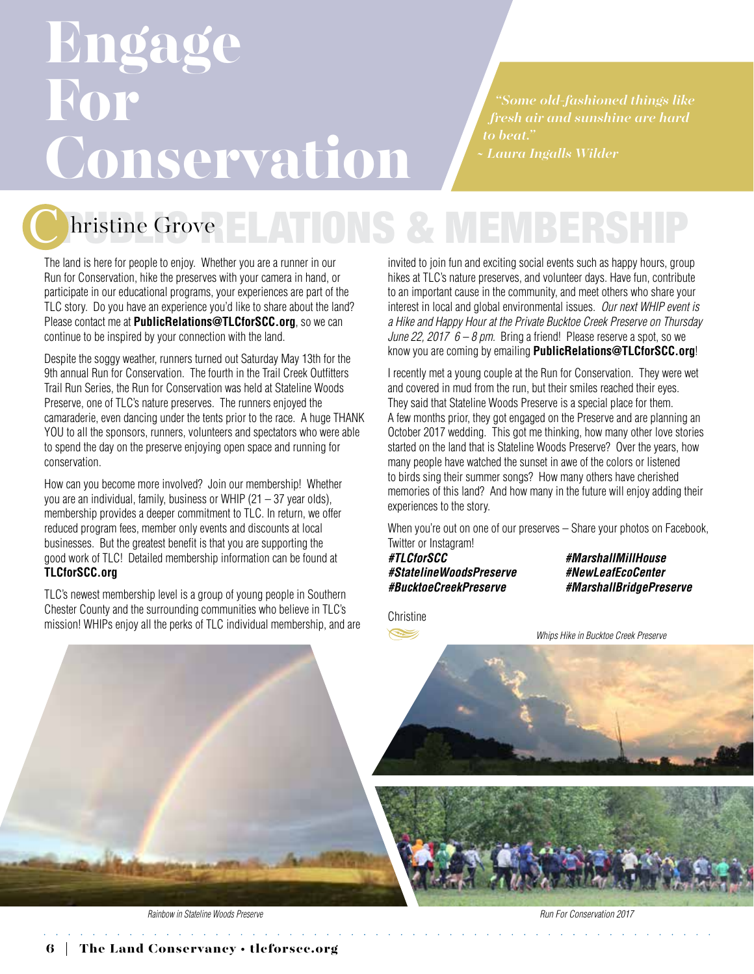### Engage For S **Conservation**

*"Some old-fashioned things like fresh air and sunshine are hard to beat." ~ Laura Ingalls Wilder*

hristine Grove

The land is here for people to enjoy. Whether you are a runner in our Run for Conservation, hike the preserves with your camera in hand, or participate in our educational programs, your experiences are part of the TLC story. Do you have an experience you'd like to share about the land? Please contact me at **[PublicRelations@TLCforSCC.org](mailto:PublicRelations@TLCforSCC.org)**, so we can continue to be inspired by your connection with the land.

Despite the soggy weather, runners turned out Saturday May 13th for the 9th annual Run for Conservation. The fourth in the Trail Creek Outfitters Trail Run Series, the Run for Conservation was held at Stateline Woods Preserve, one of TLC's nature preserves. The runners enjoyed the camaraderie, even dancing under the tents prior to the race. A huge THANK YOU to all the sponsors, runners, volunteers and spectators who were able to spend the day on the preserve enjoying open space and running for conservation.

How can you become more involved? Join our membership! Whether you are an individual, family, business or WHIP  $(21 - 37$  year olds), membership provides a deeper commitment to TLC. In return, we offer reduced program fees, member only events and discounts at local businesses. But the greatest benefit is that you are supporting the good work of TLC! Detailed membership information can be found at **[TLCforSCC.org](http://www.TLCforSCC.org)**

TLC's newest membership level is a group of young people in Southern Chester County and the surrounding communities who believe in TLC's mission! WHIPs enjoy all the perks of TLC individual membership, and are invited to join fun and exciting social events such as happy hours, group hikes at TLC's nature preserves, and volunteer days. Have fun, contribute to an important cause in the community, and meet others who share your interest in local and global environmental issues. *Our next WHIP event is a Hike and Happy Hour at the Private Bucktoe Creek Preserve on Thursday June 22, 2017 6 – 8 pm.* Bring a friend! Please reserve a spot, so we know you are coming by emailing **[PublicRelations@TLCforSCC.org](mailto:PublicRelations@TLCforSCC.org)**!

I recently met a young couple at the Run for Conservation. They were wet and covered in mud from the run, but their smiles reached their eyes. They said that Stateline Woods Preserve is a special place for them. A few months prior, they got engaged on the Preserve and are planning an October 2017 wedding. This got me thinking, how many other love stories started on the land that is Stateline Woods Preserve? Over the years, how many people have watched the sunset in awe of the colors or listened to birds sing their summer songs? How many others have cherished memories of this land? And how many in the future will enjoy adding their experiences to the story.

When you're out on one of our preserves – Share your photos on Facebook, Twitter or Instagram!<br>#TLCforSCC

*#StatelineWoodsPreserve #NewLeafEcoCenter #BucktoeCreekPreserve #MarshallBridgePreserve*

*#TLCforSCC #MarshallMillHouse*

**Christine**  $\leq$ 

*Whips Hike in Bucktoe Creek Preserve*



*Rainbow in Stateline Woods Preserve Run For Conservation 2017*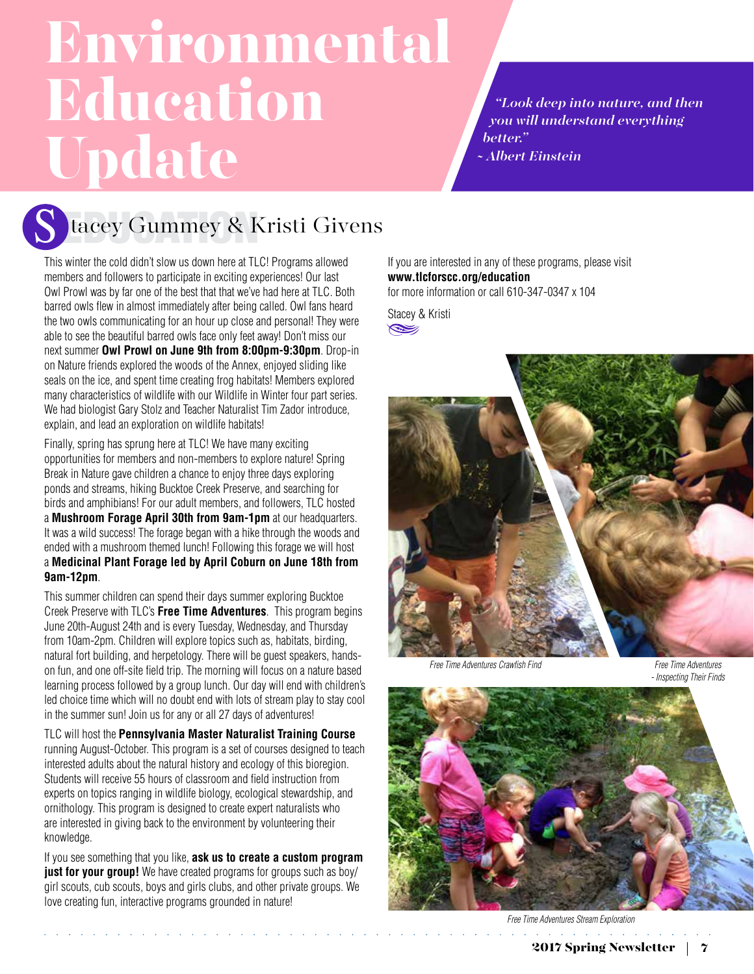### Environmental **Education** Update

*"Look deep into nature, and then you will understand everything better." ~ Albert Einstein*



tacey Gummey & Kristi Givens

This winter the cold didn't slow us down here at TLC! Programs allowed members and followers to participate in exciting experiences! Our last Owl Prowl was by far one of the best that that we've had here at TLC. Both barred owls flew in almost immediately after being called. Owl fans heard the two owls communicating for an hour up close and personal! They were able to see the beautiful barred owls face only feet away! Don't miss our next summer **Owl Prowl on June 9th from 8:00pm-9:30pm**. Drop-in on Nature friends explored the woods of the Annex, enjoyed sliding like seals on the ice, and spent time creating frog habitats! Members explored many characteristics of wildlife with our Wildlife in Winter four part series. We had biologist Gary Stolz and Teacher Naturalist Tim Zador introduce, explain, and lead an exploration on wildlife habitats!

Finally, spring has sprung here at TLC! We have many exciting opportunities for members and non-members to explore nature! Spring Break in Nature gave children a chance to enjoy three days exploring ponds and streams, hiking Bucktoe Creek Preserve, and searching for birds and amphibians! For our adult members, and followers, TLC hosted a **Mushroom Forage April 30th from 9am-1pm** at our headquarters. It was a wild success! The forage began with a hike through the woods and ended with a mushroom themed lunch! Following this forage we will host a **Medicinal Plant Forage led by April Coburn on June 18th from 9am-12pm**.

This summer children can spend their days summer exploring Bucktoe Creek Preserve with TLC's **Free Time Adventures**. This program begins June 20th-August 24th and is every Tuesday, Wednesday, and Thursday from 10am-2pm. Children will explore topics such as, habitats, birding, natural fort building, and herpetology. There will be guest speakers, handson fun, and one off-site field trip. The morning will focus on a nature based learning process followed by a group lunch. Our day will end with children's led choice time which will no doubt end with lots of stream play to stay cool in the summer sun! Join us for any or all 27 days of adventures!

TLC will host the **Pennsylvania Master Naturalist Training Course** running August-October. This program is a set of courses designed to teach interested adults about the natural history and ecology of this bioregion. Students will receive 55 hours of classroom and field instruction from experts on topics ranging in wildlife biology, ecological stewardship, and ornithology. This program is designed to create expert naturalists who are interested in giving back to the environment by volunteering their knowledge.

If you see something that you like, **ask us to create a custom program just for your group!** We have created programs for groups such as boy/ girl scouts, cub scouts, boys and girls clubs, and other private groups. We love creating fun, interactive programs grounded in nature!

If you are interested in any of these programs, please visit **[www.tlcforscc.org/education](http://www.tlcforscc.org/education)** for more information or call 610-347-0347 x 104

Stacey & Kristi  $\leqslant$ 



*Free Time Adventures Crawfish Find Free Time Adventures*

*- Inspecting Their Finds*



*Free Time Adventures Stream Exploration*

and a state of the state of the